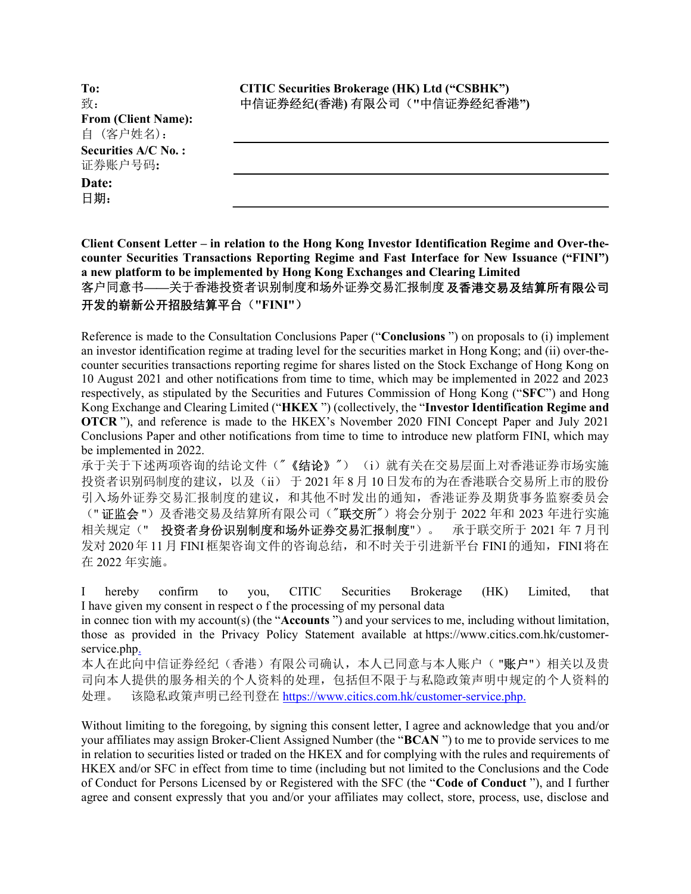To: 致: From (Client Name): 自 (客户姓名): Securities A/C No. : 证券账户号码: Date:

日期:

Client Consent Letter – in relation to the Hong Kong Investor Identification Regime and Over-thecounter Securities Transactions Reporting Regime and Fast Interface for New Issuance ("FINI") a new platform to be implemented by Hong Kong Exchanges and Clearing Limited 客户同意书——关于香港投资者识别制度和场外证券交易汇报制度及香港交易及结算所有限公司 开发的崭新公开招股结算平台("FINI")

Reference is made to the Consultation Conclusions Paper ("Conclusions ") on proposals to (i) implement an investor identification regime at trading level for the securities market in Hong Kong; and (ii) over-thecounter securities transactions reporting regime for shares listed on the Stock Exchange of Hong Kong on 10 August 2021 and other notifications from time to time, which may be implemented in 2022 and 2023 respectively, as stipulated by the Securities and Futures Commission of Hong Kong ("SFC") and Hong Kong Exchange and Clearing Limited ("HKEX ") (collectively, the "Investor Identification Regime and OTCR "), and reference is made to the HKEX's November 2020 FINI Concept Paper and July 2021 Conclusions Paper and other notifications from time to time to introduce new platform FINI, which may be implemented in 2022.

承于关于下述两项咨询的结论文件("《结论》") (i)就有关在交易层面上对香港证券市场实施 投资者识别码制度的建议, 以及(ii) 于 2021 年 8 月 10 日发布的为在香港联合交易所上市的股份 引入场外证券交易汇报制度的建议,和其他不时发出的通知,香港证券及期货事务监察委员会 ("证监会")及香港交易及结算所有限公司("联交所")将会分别于 2022 年和 2023 年进行实施 相关规定("投资者身份识别制度和场外证券交易汇报制度")。 承于联交所于 2021 年 7 月刊 发对 2020年11月 FINI 框架咨询文件的咨询总结, 和不时关于引进新平台 FINI 的通知, FINI 将在 在 2022 年实施。

I hereby confirm to you, CITIC Securities Brokerage (HK) Limited, that I have given my consent in respect o f the processing of my personal data

in connec tion with my account(s) (the "Accounts ") and your services to me, including without limitation, those as provided in the Privacy Policy Statement available at https://www.citics.com.hk/customerservice.php.

本人在此向中信证券经纪(香港)有限公司确认,本人已同意与本人账户("账户")相关以及贵 司向本人提供的服务相关的个人资料的处理,包括但不限于与私隐政策声明中规定的个人资料的 处理。 该隐私政策声明已经刊登在 https://www.citics.com.hk/customer-service.php.

Without limiting to the foregoing, by signing this consent letter, I agree and acknowledge that you and/or your affiliates may assign Broker-Client Assigned Number (the "BCAN ") to me to provide services to me in relation to securities listed or traded on the HKEX and for complying with the rules and requirements of HKEX and/or SFC in effect from time to time (including but not limited to the Conclusions and the Code of Conduct for Persons Licensed by or Registered with the SFC (the "Code of Conduct "), and I further agree and consent expressly that you and/or your affiliates may collect, store, process, use, disclose and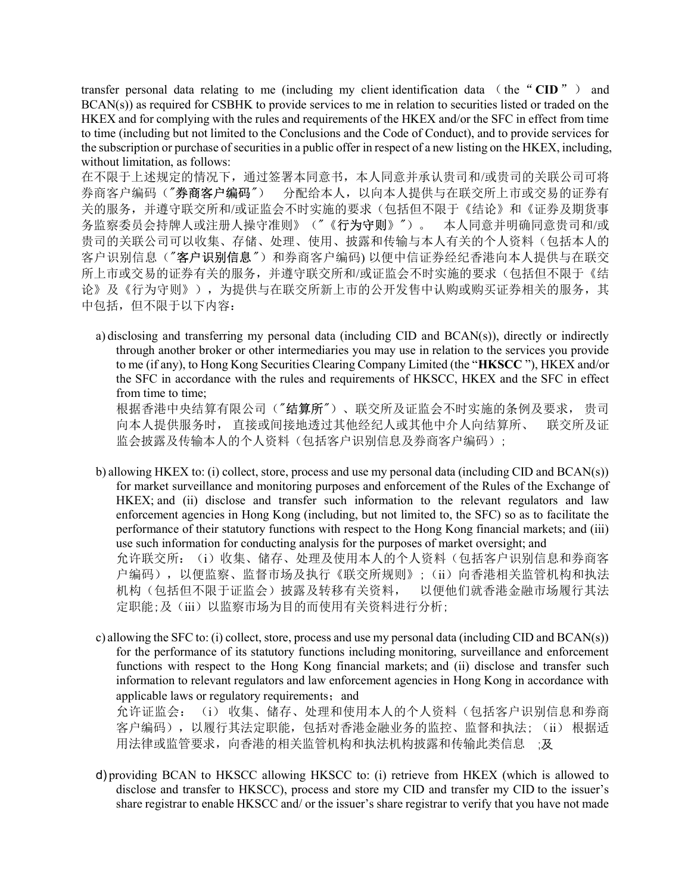transfer personal data relating to me (including my client identification data (the "CID") and BCAN(s)) as required for CSBHK to provide services to me in relation to securities listed or traded on the HKEX and for complying with the rules and requirements of the HKEX and/or the SFC in effect from time to time (including but not limited to the Conclusions and the Code of Conduct), and to provide services for the subscription or purchase of securities in a public offer in respect of a new listing on the HKEX, including, without limitation, as follows:

在不限于上述规定的情况下,通过签署本同意书,本人同意并承认贵司和/或贵司的关联公司可将 券商客户编码("券商客户编码") 分配给本人,以向本人提供与在联交所上市或交易的证券有 关的服务,并遵守联交所和/或证监会不时实施的要求(包括但不限于《结论》和《证券及期货事 务监察委员会持牌人或注册人操守准则》("《行为守则》")。 本人同意并明确同意贵司和/或 贵司的关联公司可以收集、存储、处理、使用、披露和传输与本人有关的个人资料(包括本人的 客户识别信息("客户识别信息")和券商客户编码)以便中信证券经纪香港向本人提供与在联交 所上市或交易的证券有关的服务,并遵守联交所和/或证监会不时实施的要求(包括但不限于《结 论》及《行为守则》),为提供与在联交所新上市的公开发售中认购或购买证券相关的服务,其 中包括,但不限于以下内容:

a) disclosing and transferring my personal data (including CID and BCAN(s)), directly or indirectly through another broker or other intermediaries you may use in relation to the services you provide to me (if any), to Hong Kong Securities Clearing Company Limited (the "HKSCC "), HKEX and/or the SFC in accordance with the rules and requirements of HKSCC, HKEX and the SFC in effect from time to time;

根据香港中央结算有限公司("结算所")、联交所及证监会不时实施的条例及要求, 贵司 向本人提供服务时, 直接或间接地透过其他经纪人或其他中介人向结算所、 联交所及证 监会披露及传输本人的个人资料(包括客户识别信息及券商客户编码);

- b) allowing HKEX to: (i) collect, store, process and use my personal data (including CID and BCAN(s)) for market surveillance and monitoring purposes and enforcement of the Rules of the Exchange of HKEX; and (ii) disclose and transfer such information to the relevant regulators and law enforcement agencies in Hong Kong (including, but not limited to, the SFC) so as to facilitate the performance of their statutory functions with respect to the Hong Kong financial markets; and (iii) use such information for conducting analysis for the purposes of market oversight; and 允许联交所: (i)收集、储存、处理及使用本人的个人资料(包括客户识别信息和券商客 户编码),以便监察、监督市场及执行《联交所规则》;(ii)向香港相关监管机构和执法 机构(包括但不限于证监会)披露及转移有关资料, 以便他们就香港金融市场履行其法 定职能;及(iii)以监察市场为目的而使用有关资料进行分析;
- c) allowing the SFC to: (i) collect, store, process and use my personal data (including CID and BCAN(s)) for the performance of its statutory functions including monitoring, surveillance and enforcement functions with respect to the Hong Kong financial markets; and (ii) disclose and transfer such information to relevant regulators and law enforcement agencies in Hong Kong in accordance with applicable laws or regulatory requirements; and

允许证监会: (i) 收集、储存、处理和使用本人的个人资料(包括客户识别信息和券商 客户编码),以履行其法定职能,包括对香港金融业务的监控、监督和执法; (ii) 根据适 用法律或监管要求,向香港的相关监管机构和执法机构披露和传输此类信息 ;及

d) providing BCAN to HKSCC allowing HKSCC to: (i) retrieve from HKEX (which is allowed to disclose and transfer to HKSCC), process and store my CID and transfer my CID to the issuer's share registrar to enable HKSCC and/ or the issuer's share registrar to verify that you have not made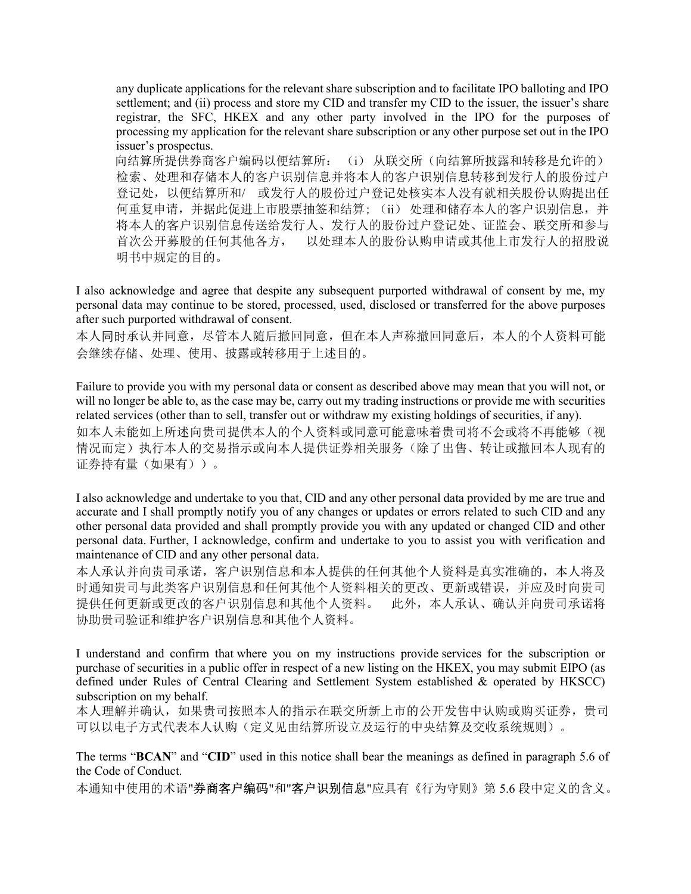any duplicate applications for the relevant share subscription and to facilitate IPO balloting and IPO settlement; and (ii) process and store my CID and transfer my CID to the issuer, the issuer's share registrar, the SFC, HKEX and any other party involved in the IPO for the purposes of processing my application for the relevant share subscription or any other purpose set out in the IPO issuer's prospectus.

向结算所提供券商客户编码以便结算所: (i) 从联交所(向结算所披露和转移是允许的) 检索、处理和存储本人的客户识别信息并将本人的客户识别信息转移到发行人的股份过户 登记处,以便结算所和/ 或发行人的股份过户登记处核实本人没有就相关股份认购提出任 何重复申请,并据此促进上市股票抽签和结算; (ii) 处理和储存本人的客户识别信息,并 将本人的客户识别信息传送给发行人、发行人的股份过户登记处、证监会、联交所和参与 首次公开募股的任何其他各方, 以处理本人的股份认购申请或其他上市发行人的招股说 明书中规定的目的。

I also acknowledge and agree that despite any subsequent purported withdrawal of consent by me, my personal data may continue to be stored, processed, used, disclosed or transferred for the above purposes after such purported withdrawal of consent.

本人同时承认并同意,尽管本人随后撤回同意,但在本人声称撤回同意后,本人的个人资料可能 会继续存储、处理、使用、披露或转移用于上述目的。

Failure to provide you with my personal data or consent as described above may mean that you will not, or will no longer be able to, as the case may be, carry out my trading instructions or provide me with securities related services (other than to sell, transfer out or withdraw my existing holdings of securities, if any). 如本人未能如上所述向贵司提供本人的个人资料或同意可能意味着贵司将不会或将不再能够(视 情况而定)执行本人的交易指示或向本人提供证券相关服务(除了出售、转让或撤回本人现有的 证券持有量(如果有))。

I also acknowledge and undertake to you that, CID and any other personal data provided by me are true and accurate and I shall promptly notify you of any changes or updates or errors related to such CID and any other personal data provided and shall promptly provide you with any updated or changed CID and other personal data. Further, I acknowledge, confirm and undertake to you to assist you with verification and maintenance of CID and any other personal data.

本人承认并向贵司承诺,客户识别信息和本人提供的任何其他个人资料是真实准确的,本人将及 时通知贵司与此类客户识别信息和任何其他个人资料相关的更改、更新或错误,并应及时向贵司 提供任何更新或更改的客户识别信息和其他个人资料。 此外,本人承认、确认并向贵司承诺将 协助贵司验证和维护客户识别信息和其他个人资料。

I understand and confirm that where you on my instructions provide services for the subscription or purchase of securities in a public offer in respect of a new listing on the HKEX, you may submit EIPO (as defined under Rules of Central Clearing and Settlement System established & operated by HKSCC) subscription on my behalf.

本人理解并确认,如果贵司按照本人的指示在联交所新上市的公开发售中认购或购买证券,贵司 可以以电子方式代表本人认购(定义见由结算所设立及运行的中央结算及交收系统规则)。

The terms "BCAN" and "CID" used in this notice shall bear the meanings as defined in paragraph 5.6 of the Code of Conduct.

本通知中使用的术语"券商客户编码"和"客户识别信息"应具有《行为守则》第 5.6 段中定义的含义。